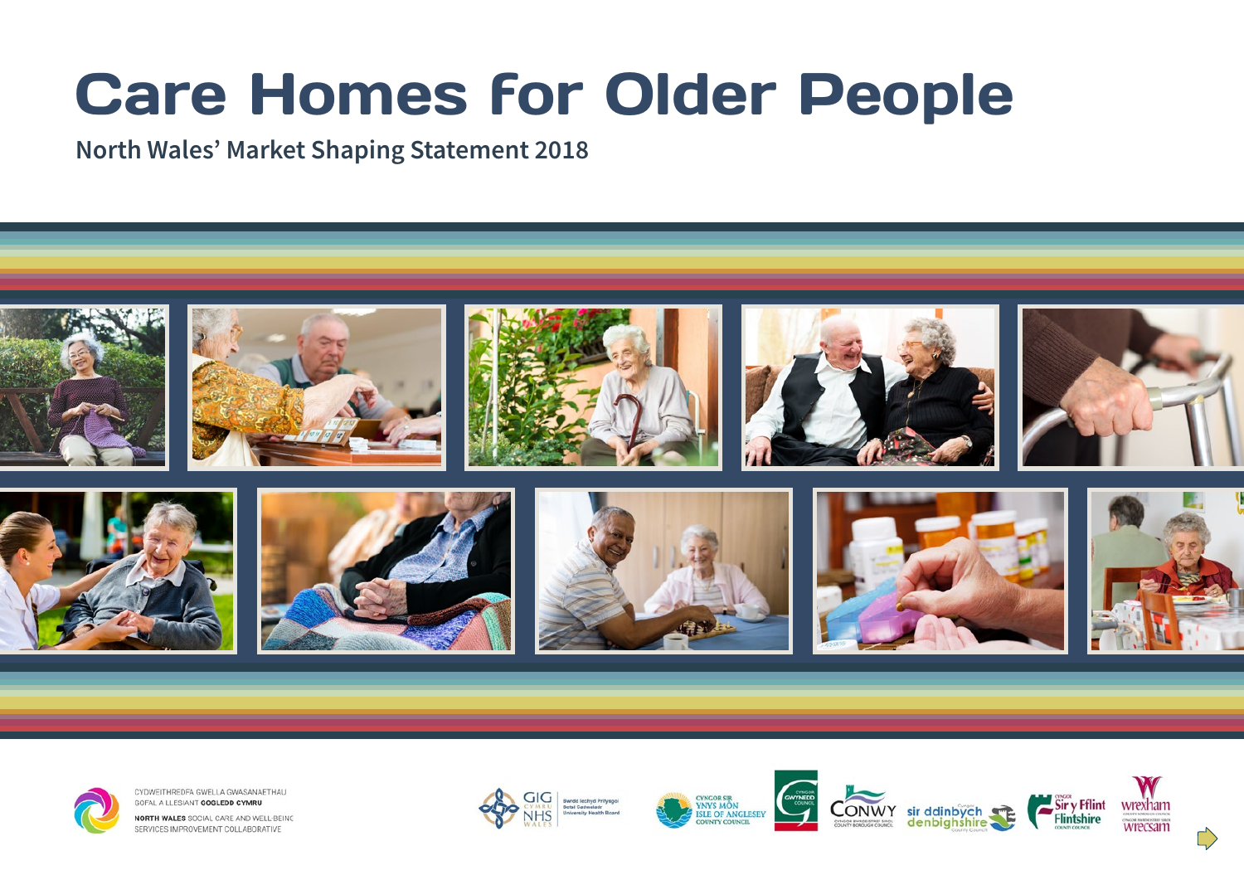# Care Homes for Older People

## **North Wales' Market Shaping Statement 2018**





CYDWEITHREDFA GWELLA GWASANAETHAU GOFAL A LLESIANT GOGLEDD CYMRU

NORTH WALES SOCIAL CARE AND WELL-BEING SERVICES IMPROVEMENT COLLABORATIVE









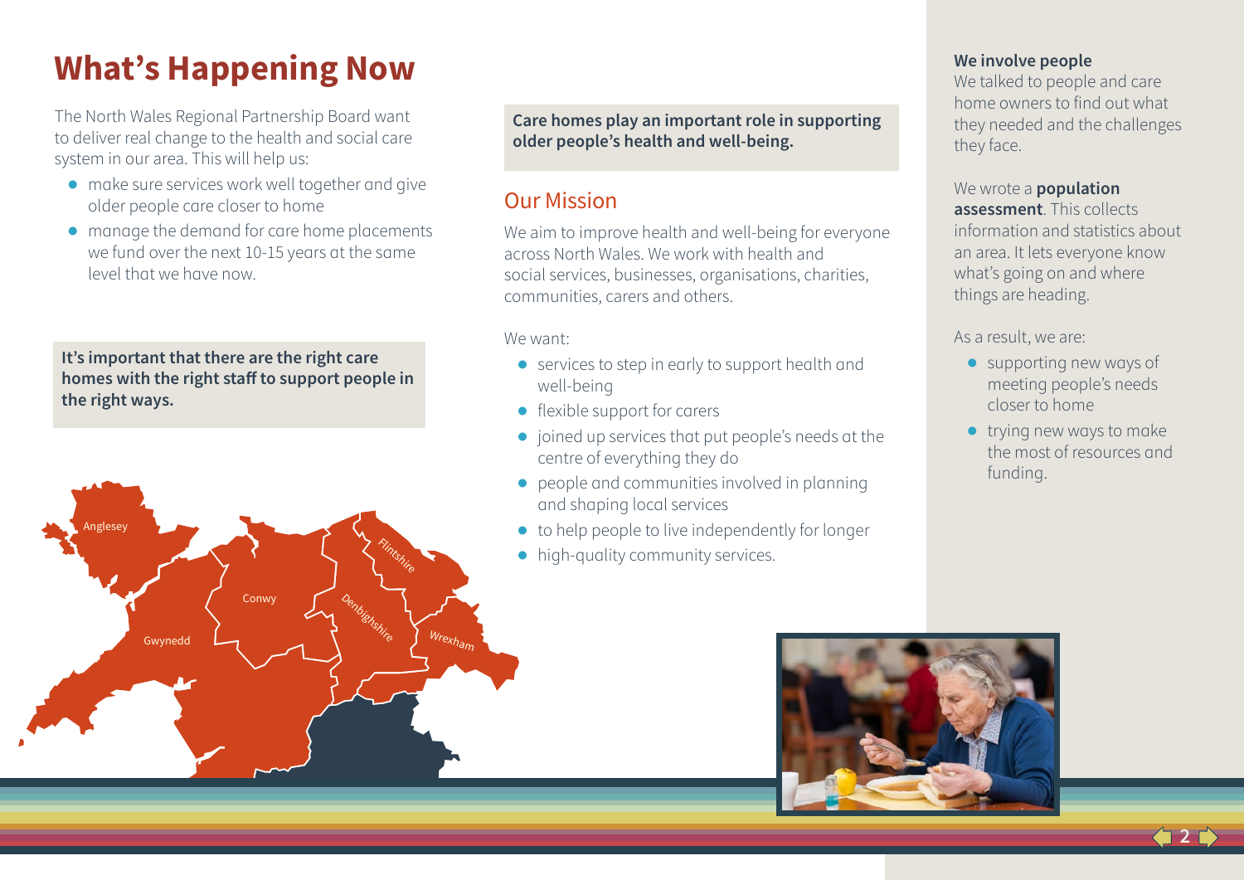# **What's Happening Now**

The North Wales Regional Partnership Board want to deliver real change to the health and social care system in our area. This will help us:

- **●** make sure services work well together and give older people care closer to home
- **●** manage the demand for care home placements we fund over the next 10-15 years at the same level that we have now.

**It's important that there are the right care homes with the right staff to support people in the right ways.**



**Care homes play an important role in supporting older people's health and well-being.**

### Our Mission

We aim to improve health and well-being for everyone across North Wales. We work with health and social services, businesses, organisations, charities, communities, carers and others.

#### We want:

- **●** services to step in early to support health and well-being
- **●** flexible support for carers
- ioined up services that put people's needs at the centre of everything they do
- **●** people and communities involved in planning and shaping local services
- **●** to help people to live independently for longer
- **●** high-quality community services.

#### **We involve people**

We talked to people and care home owners to find out what they needed and the challenges they face.

#### We wrote a **population assessment**. This collects information and statistics about an area. It lets everyone know what's going on and where things are heading.

#### As a result, we are:

- **●** supporting new ways of meeting people's needs closer to home
- **●** trying new ways to make the most of resources and funding.

**2**

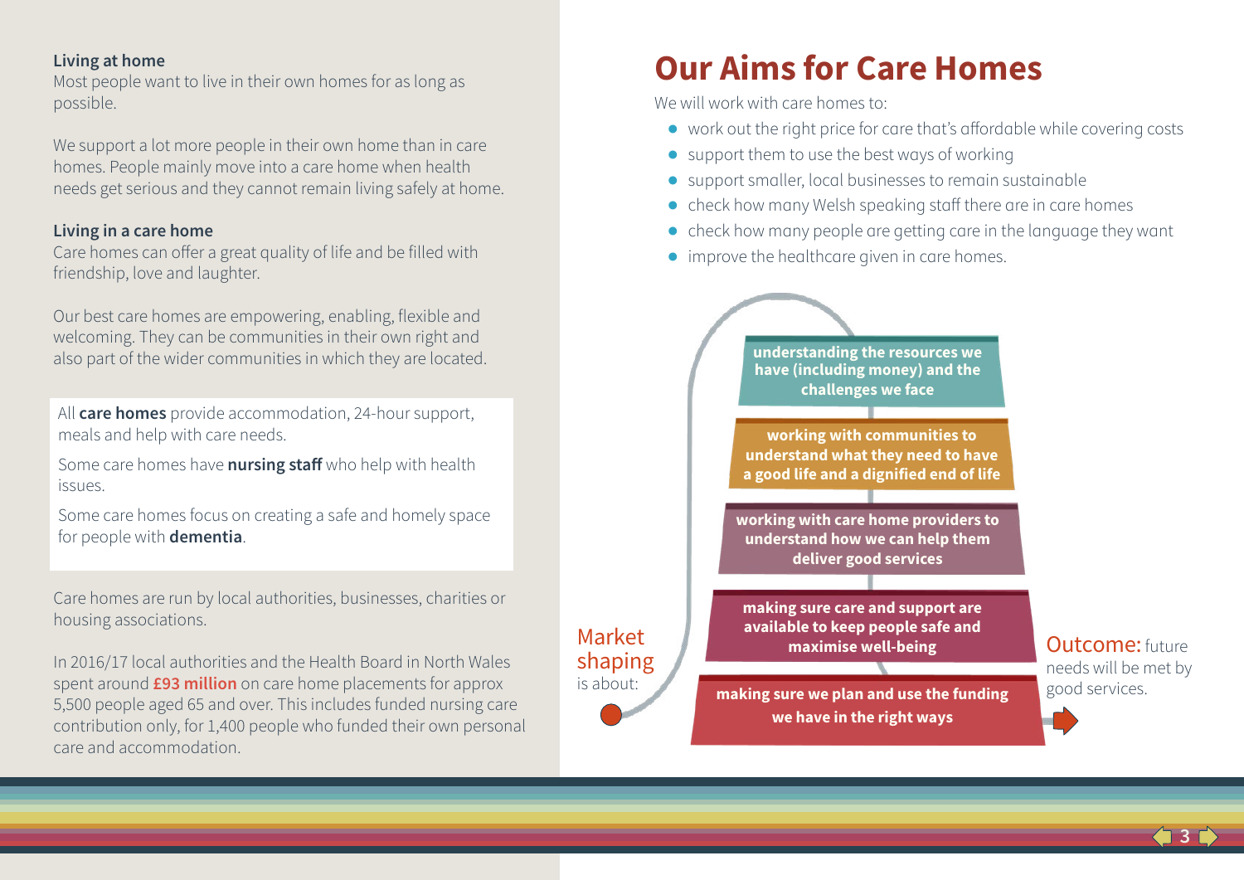#### **Living at home**

Most people want to live in their own homes for as long as possible.

We support a lot more people in their own home than in care homes. People mainly move into a care home when health needs get serious and they cannot remain living safely at home.

#### **Living in a care home**

Care homes can offer a great quality of life and be filled with friendship, love and laughter.

Our best care homes are empowering, enabling, flexible and welcoming. They can be communities in their own right and also part of the wider communities in which they are located.

All **care homes** provide accommodation, 24-hour support, meals and help with care needs.

Some care homes have **nursing staff** who help with health issues.

Some care homes focus on creating a safe and homely space for people with **dementia**.

Care homes are run by local authorities, businesses, charities or housing associations.

In 2016/17 local authorities and the Health Board in North Wales spent around **£93 million** on care home placements for approx 5,500 people aged 65 and over. This includes funded nursing care contribution only, for 1,400 people who funded their own personal care and accommodation.

Market shaping is about:

# **Our Aims for Care Homes**

We will work with care homes to:

- **●** work out the right price for care that's affordable while covering costs
- **●** support them to use the best ways of working
- **●** support smaller, local businesses to remain sustainable
- **●** check how many Welsh speaking staff there are in care homes
- **●** check how many people are getting care in the language they want
- **●** improve the healthcare given in care homes.



Outcome: future needs will be met by good services.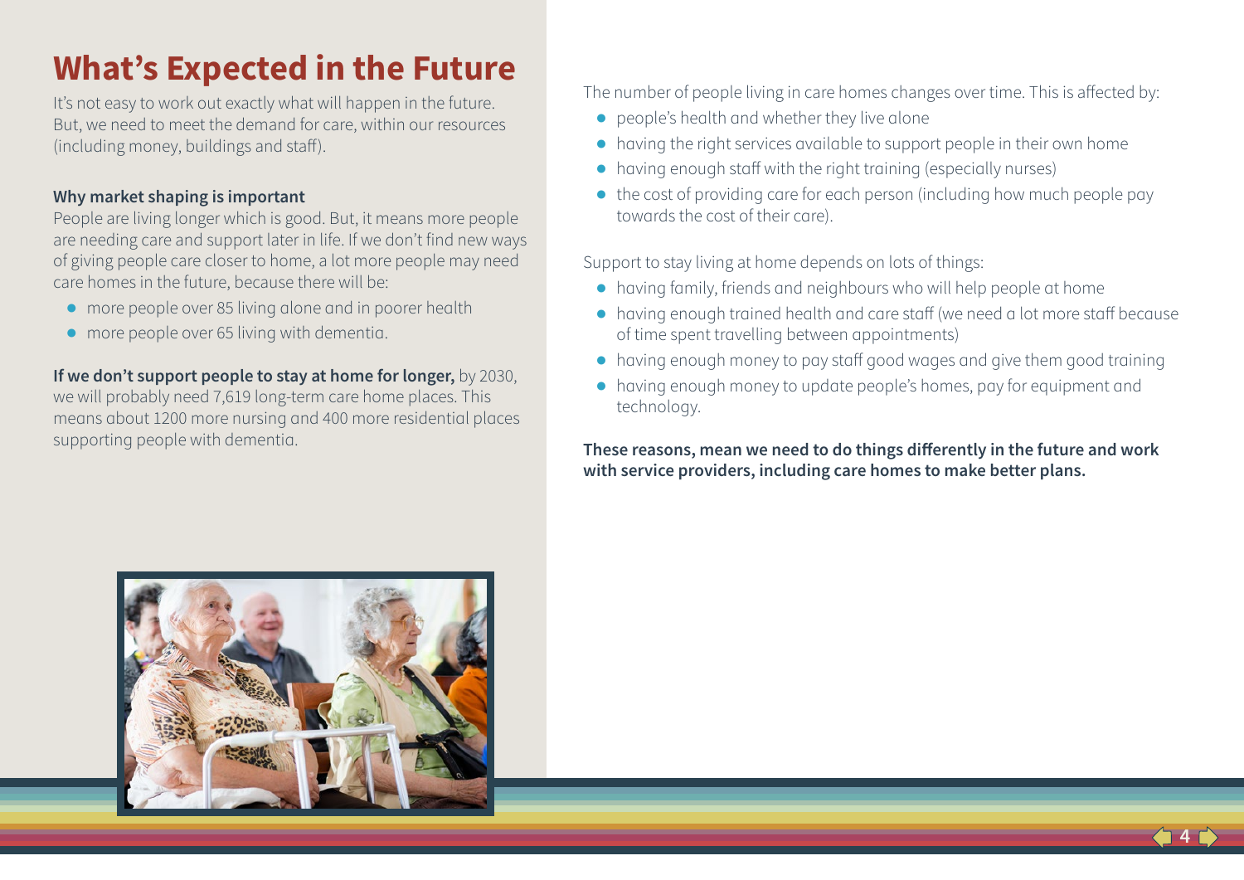# **What's Expected in the Future**

It's not easy to work out exactly what will happen in the future. But, we need to meet the demand for care, within our resources (including money, buildings and staff).

#### **Why market shaping is important**

People are living longer which is good. But, it means more people are needing care and support later in life. If we don't find new ways of giving people care closer to home, a lot more people may need care homes in the future, because there will be:

- **●** more people over 85 living alone and in poorer health
- **●** more people over 65 living with dementia.

**If we don't support people to stay at home for longer,** by 2030, we will probably need 7,619 long-term care home places. This means about 1200 more nursing and 400 more residential places supporting people with dementia.

The number of people living in care homes changes over time. This is affected by:

- **●** people's health and whether they live alone
- **●** having the right services available to support people in their own home
- **●** having enough staff with the right training (especially nurses)
- **●** the cost of providing care for each person (including how much people pay towards the cost of their care).

Support to stay living at home depends on lots of things:

- **●** having family, friends and neighbours who will help people at home
- **●** having enough trained health and care staff (we need a lot more staff because of time spent travelling between appointments)
- **●** having enough money to pay staff good wages and give them good training
- **●** having enough money to update people's homes, pay for equipment and technology.

**These reasons, mean we need to do things differently in the future and work with service providers, including care homes to make better plans.** 



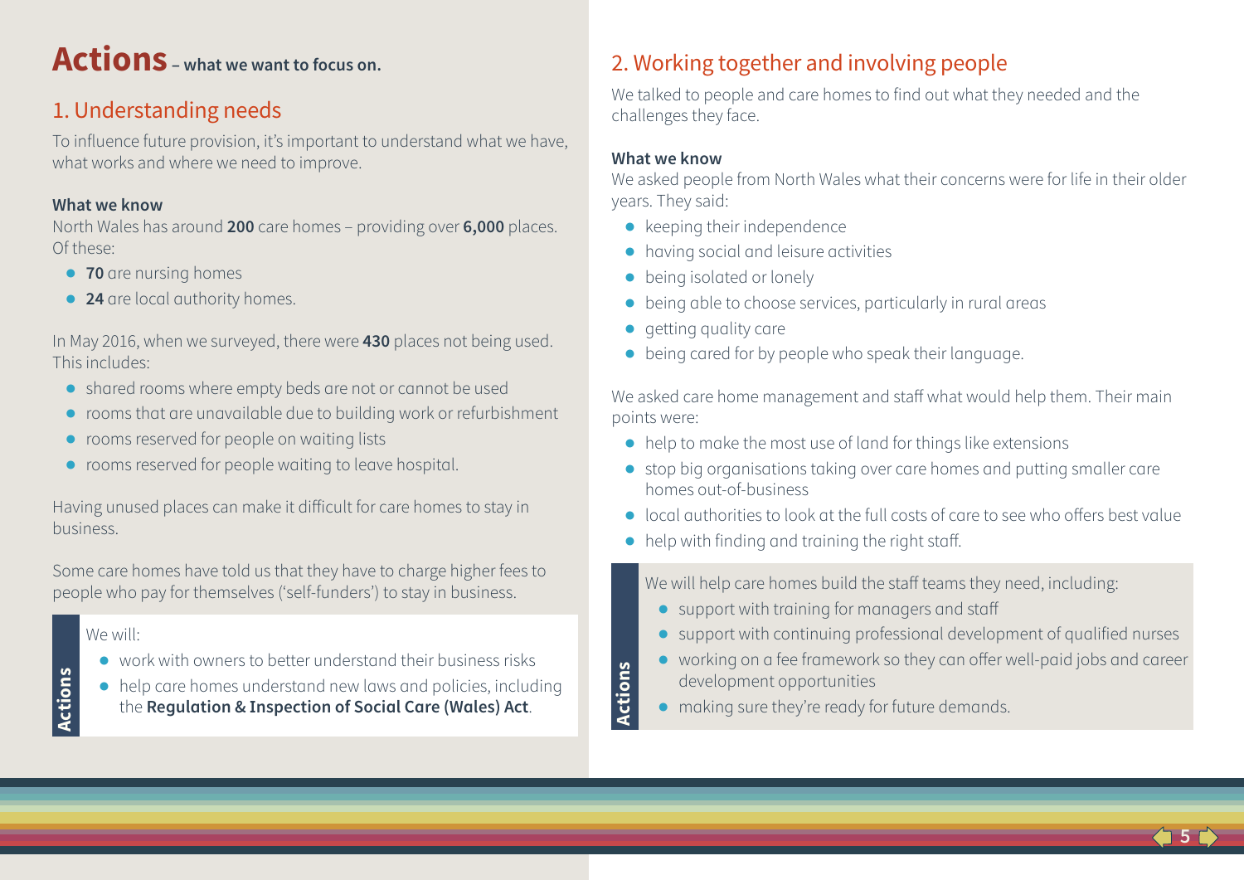# **Actions – what we want to focus on.**

# 1. Understanding needs

To influence future provision, it's important to understand what we have, what works and where we need to improve.

#### **What we know**

North Wales has around **200** care homes – providing over **6,000** places. Of these:

- **● 70** are nursing homes
- **● 24** are local authority homes.

In May 2016, when we surveyed, there were **430** places not being used. This includes:

- **●** shared rooms where empty beds are not or cannot be used
- **●** rooms that are unavailable due to building work or refurbishment
- **●** rooms reserved for people on waiting lists
- **●** rooms reserved for people waiting to leave hospital.

Having unused places can make it difficult for care homes to stay in business.

Some care homes have told us that they have to charge higher fees to people who pay for themselves ('self-funders') to stay in business.

#### We will:

**Actions**

- **●** work with owners to better understand their business risks
- **●** help care homes understand new laws and policies, including the **Regulation & Inspection of Social Care (Wales) Act**.

# 2. Working together and involving people

We talked to people and care homes to find out what they needed and the challenges they face.

#### **What we know**

**Actions**

We asked people from North Wales what their concerns were for life in their older years. They said:

- **●** keeping their independence
- **●** having social and leisure activities
- **being isolated or lonely**
- **●** being able to choose services, particularly in rural areas
- **●** getting quality care
- **●** being cared for by people who speak their language.

We asked care home management and staff what would help them. Their main points were:

- **●** help to make the most use of land for things like extensions
- **●** stop big organisations taking over care homes and putting smaller care homes out-of-business
- **●** local authorities to look at the full costs of care to see who offers best value
- **●** help with finding and training the right staff.

We will help care homes build the staff teams they need, including:

- **●** support with training for managers and staff
- **●** support with continuing professional development of qualified nurses
- **●** working on a fee framework so they can offer well-paid jobs and career development opportunities
- making sure they're ready for future demands.

**5**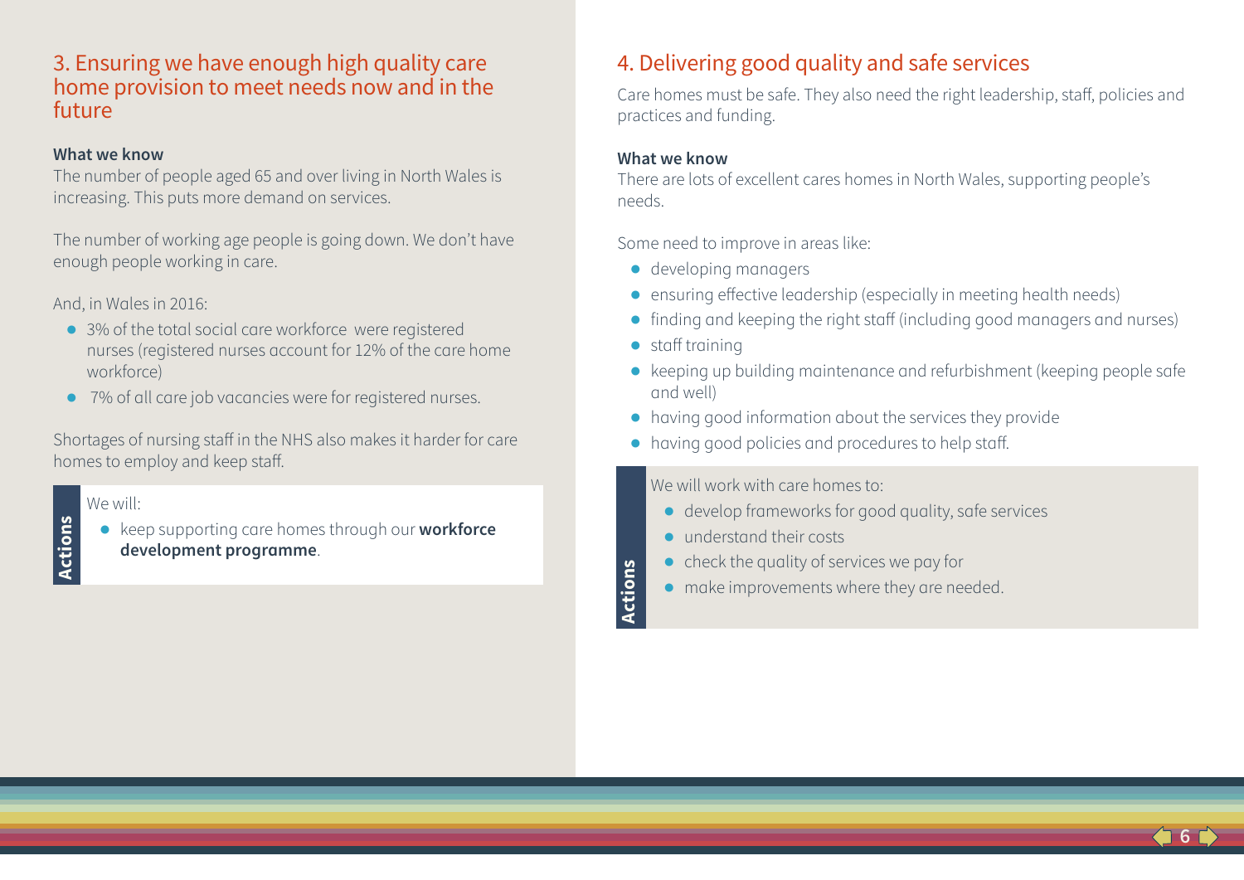### 3. Ensuring we have enough high quality care home provision to meet needs now and in the future

#### **What we know**

The number of people aged 65 and over living in North Wales is increasing. This puts more demand on services.

The number of working age people is going down. We don't have enough people working in care.

And, in Wales in 2016:

- **●** 3% of the total social care workforce were registered nurses (registered nurses account for 12% of the care home workforce)
- **●** 7% of all care job vacancies were for registered nurses.

Shortages of nursing staff in the NHS also makes it harder for care homes to employ and keep staff.

#### We will:

**Actions**

**●** keep supporting care homes through our **workforce development programme**.

# 4. Delivering good quality and safe services

Care homes must be safe. They also need the right leadership, staff, policies and practices and funding.

#### **What we know**

There are lots of excellent cares homes in North Wales, supporting people's needs.

Some need to improve in areas like:

- **●** developing managers
- **●** ensuring effective leadership (especially in meeting health needs)
- **●** finding and keeping the right staff (including good managers and nurses)
- **●** staff training

**Actions**

**●** keeping up building maintenance and refurbishment (keeping people safe and well)

**6**

- **●** having good information about the services they provide
- **●** having good policies and procedures to help staff.

We will work with care homes to:

- **●** develop frameworks for good quality, safe services
- **●** understand their costs
- **●** check the quality of services we pay for
- **●** make improvements where they are needed.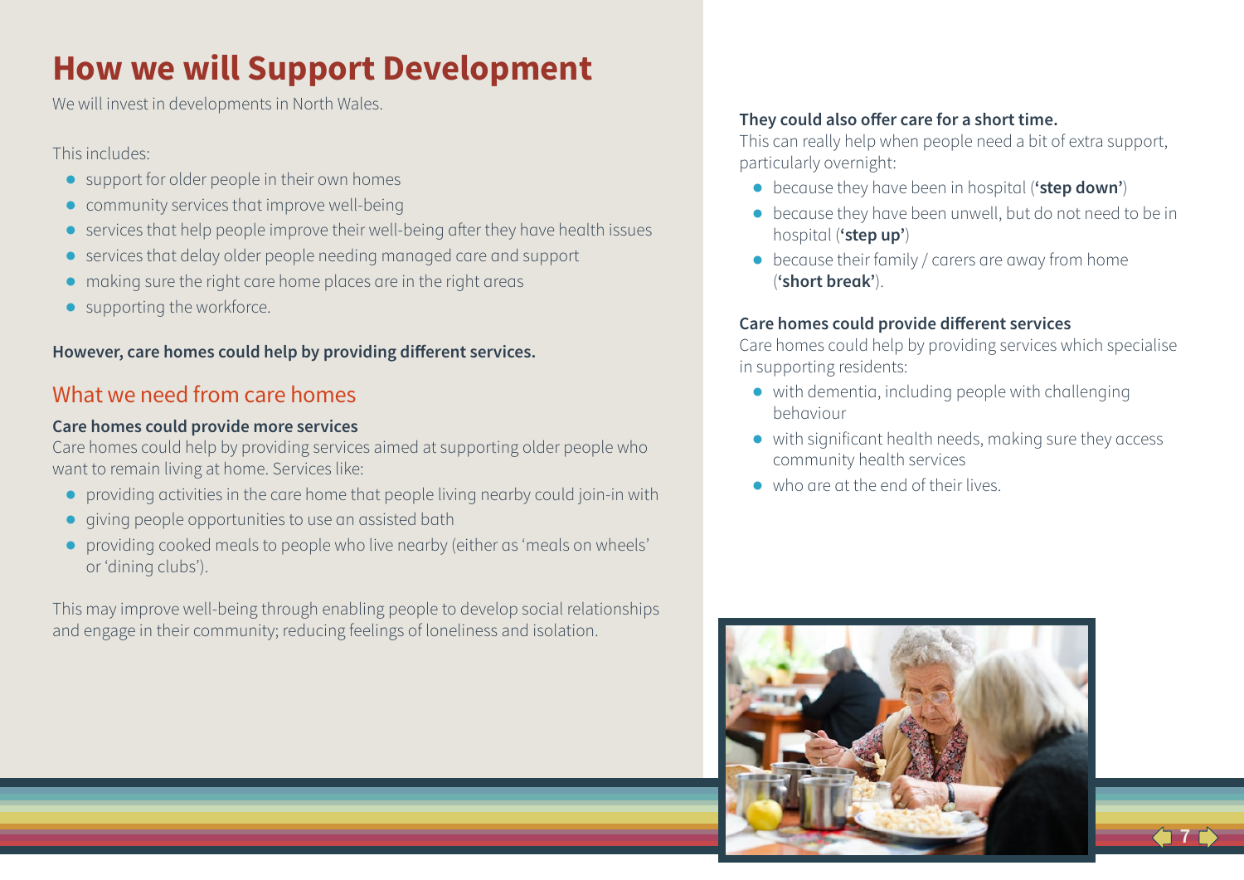# **How we will Support Development**

We will invest in developments in North Wales.

This includes:

- **●** support for older people in their own homes
- **●** community services that improve well-being
- **●** services that help people improve their well-being after they have health issues
- **●** services that delay older people needing managed care and support
- **●** making sure the right care home places are in the right areas
- **●** supporting the workforce.

#### **However, care homes could help by providing different services.**

### What we need from care homes

#### **Care homes could provide more services**

Care homes could help by providing services aimed at supporting older people who want to remain living at home. Services like:

- **●** providing activities in the care home that people living nearby could join-in with
- **●** giving people opportunities to use an assisted bath
- **●** providing cooked meals to people who live nearby (either as 'meals on wheels' or 'dining clubs').

This may improve well-being through enabling people to develop social relationships and engage in their community; reducing feelings of loneliness and isolation.

#### **They could also offer care for a short time.**

This can really help when people need a bit of extra support, particularly overnight:

- **●** because they have been in hospital (**'step down'**)
- **●** because they have been unwell, but do not need to be in hospital (**'step up'**)
- **●** because their family / carers are away from home (**'short break'**).

#### **Care homes could provide different services**

Care homes could help by providing services which specialise in supporting residents:

- **●** with dementia, including people with challenging behaviour
- **●** with significant health needs, making sure they access community health services
- **●** who are at the end of their lives.